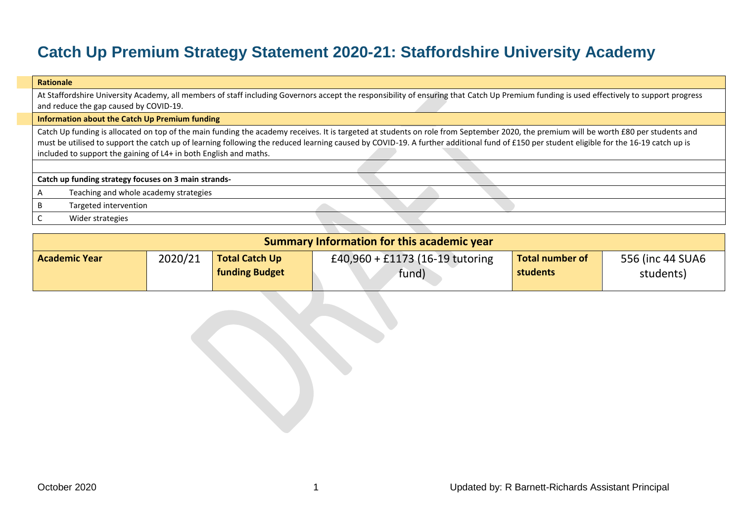## **Catch Up Premium Strategy Statement 2020-21: Staffordshire University Academy**

| <b>Rationale</b>                                                                                                                                                                                                                                                                                                                                                                                                                                       |  |  |  |  |  |  |  |  |  |
|--------------------------------------------------------------------------------------------------------------------------------------------------------------------------------------------------------------------------------------------------------------------------------------------------------------------------------------------------------------------------------------------------------------------------------------------------------|--|--|--|--|--|--|--|--|--|
| At Staffordshire University Academy, all members of staff including Governors accept the responsibility of ensuring that Catch Up Premium funding is used effectively to support progress                                                                                                                                                                                                                                                              |  |  |  |  |  |  |  |  |  |
| and reduce the gap caused by COVID-19.                                                                                                                                                                                                                                                                                                                                                                                                                 |  |  |  |  |  |  |  |  |  |
| Information about the Catch Up Premium funding                                                                                                                                                                                                                                                                                                                                                                                                         |  |  |  |  |  |  |  |  |  |
| Catch Up funding is allocated on top of the main funding the academy receives. It is targeted at students on role from September 2020, the premium will be worth £80 per students and<br>must be utilised to support the catch up of learning following the reduced learning caused by COVID-19. A further additional fund of £150 per student eligible for the 16-19 catch up is<br>included to support the gaining of L4+ in both English and maths. |  |  |  |  |  |  |  |  |  |
|                                                                                                                                                                                                                                                                                                                                                                                                                                                        |  |  |  |  |  |  |  |  |  |
| Catch up funding strategy focuses on 3 main strands-                                                                                                                                                                                                                                                                                                                                                                                                   |  |  |  |  |  |  |  |  |  |
| Teaching and whole academy strategies                                                                                                                                                                                                                                                                                                                                                                                                                  |  |  |  |  |  |  |  |  |  |
| Targeted intervention                                                                                                                                                                                                                                                                                                                                                                                                                                  |  |  |  |  |  |  |  |  |  |
| Wider strategies                                                                                                                                                                                                                                                                                                                                                                                                                                       |  |  |  |  |  |  |  |  |  |

| <b>Summary Information for this academic year</b> |         |                                                |                                          |                                    |                               |  |  |  |  |  |  |
|---------------------------------------------------|---------|------------------------------------------------|------------------------------------------|------------------------------------|-------------------------------|--|--|--|--|--|--|
| <b>Academic Year</b>                              | 2020/21 | <b>Total Catch Up</b><br><b>funding Budget</b> | £40,960 + £1173 (16-19 tutoring<br>fund) | <b>Total number of</b><br>students | 556 (inc 44 SUA6<br>students) |  |  |  |  |  |  |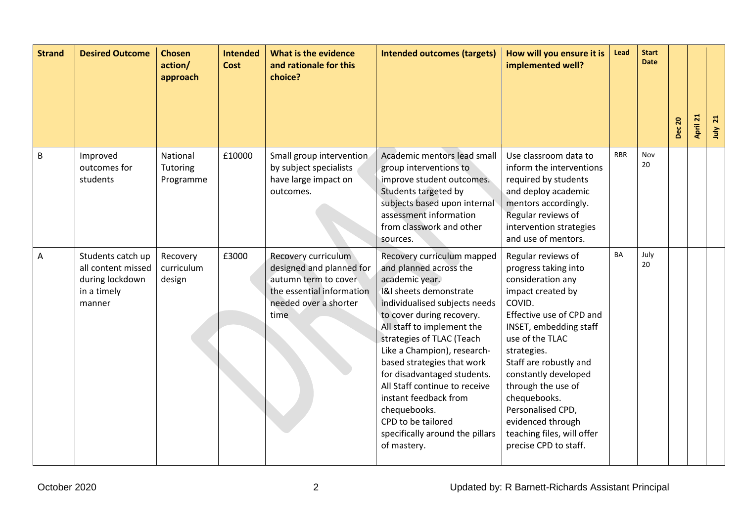| <b>Strand</b>  | <b>Desired Outcome</b>                                                              | <b>Chosen</b><br>action/<br>approach | <b>Intended</b><br><b>Cost</b> | What is the evidence<br>and rationale for this<br>choice?                                                                             | <b>Intended outcomes (targets)</b>                                                                                                                                                                                                                                                                                                                                                                                                                                      | How will you ensure it is<br>implemented well?                                                                                                                                                                                                                                                                                                                                  | Lead       | <b>Start</b><br><b>Date</b> | <b>Dec 20</b> | April 21 | $\overline{21}$<br>July |
|----------------|-------------------------------------------------------------------------------------|--------------------------------------|--------------------------------|---------------------------------------------------------------------------------------------------------------------------------------|-------------------------------------------------------------------------------------------------------------------------------------------------------------------------------------------------------------------------------------------------------------------------------------------------------------------------------------------------------------------------------------------------------------------------------------------------------------------------|---------------------------------------------------------------------------------------------------------------------------------------------------------------------------------------------------------------------------------------------------------------------------------------------------------------------------------------------------------------------------------|------------|-----------------------------|---------------|----------|-------------------------|
| $\overline{B}$ | Improved<br>outcomes for<br>students                                                | National<br>Tutoring<br>Programme    | £10000                         | Small group intervention<br>by subject specialists<br>have large impact on<br>outcomes.                                               | Academic mentors lead small<br>group interventions to<br>improve student outcomes.<br>Students targeted by<br>subjects based upon internal<br>assessment information<br>from classwork and other<br>sources.                                                                                                                                                                                                                                                            | Use classroom data to<br>inform the interventions<br>required by students<br>and deploy academic<br>mentors accordingly.<br>Regular reviews of<br>intervention strategies<br>and use of mentors.                                                                                                                                                                                | <b>RBR</b> | Nov<br>20                   |               |          |                         |
| $\overline{A}$ | Students catch up<br>all content missed<br>during lockdown<br>in a timely<br>manner | Recovery<br>curriculum<br>design     | £3000                          | Recovery curriculum<br>designed and planned for<br>autumn term to cover<br>the essential information<br>needed over a shorter<br>time | Recovery curriculum mapped<br>and planned across the<br>academic year.<br>1&I sheets demonstrate<br>individualised subjects needs<br>to cover during recovery.<br>All staff to implement the<br>strategies of TLAC (Teach<br>Like a Champion), research-<br>based strategies that work<br>for disadvantaged students.<br>All Staff continue to receive<br>instant feedback from<br>chequebooks.<br>CPD to be tailored<br>specifically around the pillars<br>of mastery. | Regular reviews of<br>progress taking into<br>consideration any<br>impact created by<br>COVID.<br>Effective use of CPD and<br>INSET, embedding staff<br>use of the TLAC<br>strategies.<br>Staff are robustly and<br>constantly developed<br>through the use of<br>chequebooks.<br>Personalised CPD,<br>evidenced through<br>teaching files, will offer<br>precise CPD to staff. | BA         | July<br>20                  |               |          |                         |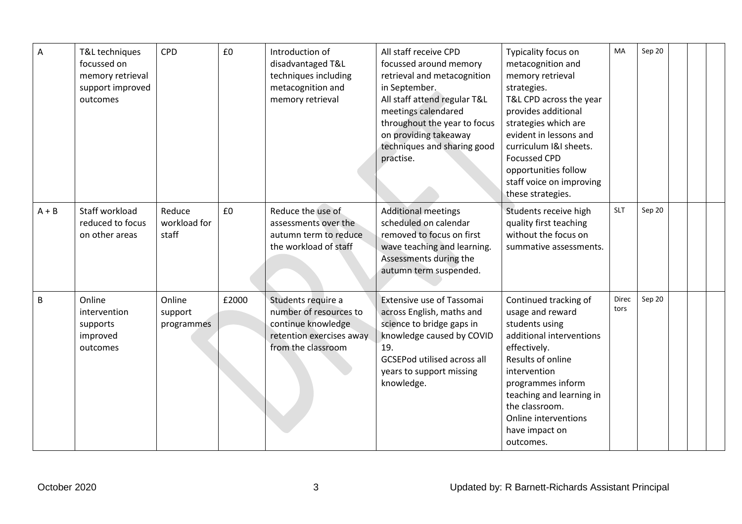| A       | T&L techniques<br>focussed on<br>memory retrieval<br>support improved<br>outcomes | <b>CPD</b>                      | £0    | Introduction of<br>disadvantaged T&L<br>techniques including<br>metacognition and<br>memory retrieval                | All staff receive CPD<br>focussed around memory<br>retrieval and metacognition<br>in September.<br>All staff attend regular T&L<br>meetings calendared<br>throughout the year to focus<br>on providing takeaway<br>techniques and sharing good<br>practise. | Typicality focus on<br>metacognition and<br>memory retrieval<br>strategies.<br>T&L CPD across the year<br>provides additional<br>strategies which are<br>evident in lessons and<br>curriculum I&I sheets.<br><b>Focussed CPD</b><br>opportunities follow<br>staff voice on improving<br>these strategies. | MA            | Sep 20 |  |
|---------|-----------------------------------------------------------------------------------|---------------------------------|-------|----------------------------------------------------------------------------------------------------------------------|-------------------------------------------------------------------------------------------------------------------------------------------------------------------------------------------------------------------------------------------------------------|-----------------------------------------------------------------------------------------------------------------------------------------------------------------------------------------------------------------------------------------------------------------------------------------------------------|---------------|--------|--|
| $A + B$ | Staff workload<br>reduced to focus<br>on other areas                              | Reduce<br>workload for<br>staff | £0    | Reduce the use of<br>assessments over the<br>autumn term to reduce<br>the workload of staff                          | <b>Additional meetings</b><br>scheduled on calendar<br>removed to focus on first<br>wave teaching and learning.<br>Assessments during the<br>autumn term suspended.                                                                                         | Students receive high<br>quality first teaching<br>without the focus on<br>summative assessments.                                                                                                                                                                                                         | <b>SLT</b>    | Sep 20 |  |
| B       | Online<br>intervention<br>supports<br>improved<br>outcomes                        | Online<br>support<br>programmes | £2000 | Students require a<br>number of resources to<br>continue knowledge<br>retention exercises away<br>from the classroom | <b>Extensive use of Tassomai</b><br>across English, maths and<br>science to bridge gaps in<br>knowledge caused by COVID<br>19.<br><b>GCSEPod utilised across all</b><br>years to support missing<br>knowledge.                                              | Continued tracking of<br>usage and reward<br>students using<br>additional interventions<br>effectively.<br>Results of online<br>intervention<br>programmes inform<br>teaching and learning in<br>the classroom.<br>Online interventions<br>have impact on<br>outcomes.                                    | Direc<br>tors | Sep 20 |  |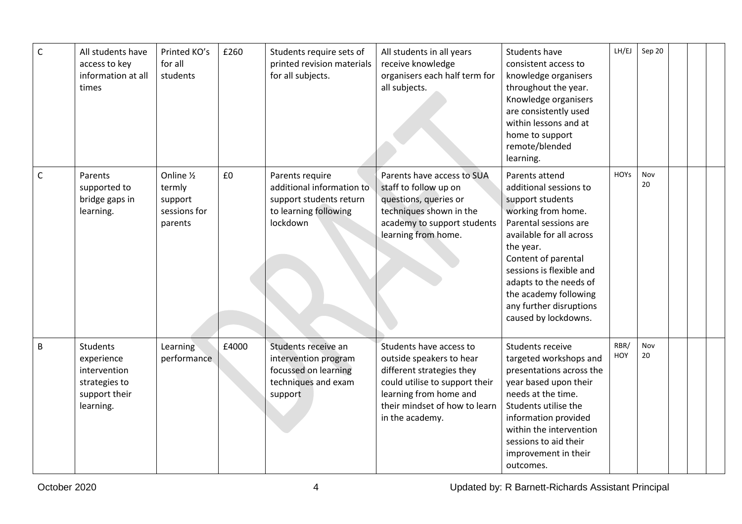| $\mathsf C$  | All students have<br>access to key<br>information at all<br>times                            | Printed KO's<br>for all<br>students                        | £260  | Students require sets of<br>printed revision materials<br>for all subjects.                                  | All students in all years<br>receive knowledge<br>organisers each half term for<br>all subjects.                                                                                                 | Students have<br>consistent access to<br>knowledge organisers<br>throughout the year.<br>Knowledge organisers<br>are consistently used<br>within lessons and at<br>home to support<br>remote/blended<br>learning.                                                                                             | LH/EJ              | Sep 20    |  |  |
|--------------|----------------------------------------------------------------------------------------------|------------------------------------------------------------|-------|--------------------------------------------------------------------------------------------------------------|--------------------------------------------------------------------------------------------------------------------------------------------------------------------------------------------------|---------------------------------------------------------------------------------------------------------------------------------------------------------------------------------------------------------------------------------------------------------------------------------------------------------------|--------------------|-----------|--|--|
| $\mathsf{C}$ | Parents<br>supported to<br>bridge gaps in<br>learning.                                       | Online 1/2<br>termly<br>support<br>sessions for<br>parents | £0    | Parents require<br>additional information to<br>support students return<br>to learning following<br>lockdown | Parents have access to SUA<br>staff to follow up on<br>questions, queries or<br>techniques shown in the<br>academy to support students<br>learning from home.                                    | Parents attend<br>additional sessions to<br>support students<br>working from home.<br>Parental sessions are<br>available for all across<br>the year.<br>Content of parental<br>sessions is flexible and<br>adapts to the needs of<br>the academy following<br>any further disruptions<br>caused by lockdowns. | <b>HOYS</b>        | Nov<br>20 |  |  |
| B            | <b>Students</b><br>experience<br>intervention<br>strategies to<br>support their<br>learning. | Learning<br>performance                                    | £4000 | Students receive an<br>intervention program<br>focussed on learning<br>techniques and exam<br>support        | Students have access to<br>outside speakers to hear<br>different strategies they<br>could utilise to support their<br>learning from home and<br>their mindset of how to learn<br>in the academy. | Students receive<br>targeted workshops and<br>presentations across the<br>year based upon their<br>needs at the time.<br>Students utilise the<br>information provided<br>within the intervention<br>sessions to aid their<br>improvement in their<br>outcomes.                                                | RBR/<br><b>HOY</b> | Nov<br>20 |  |  |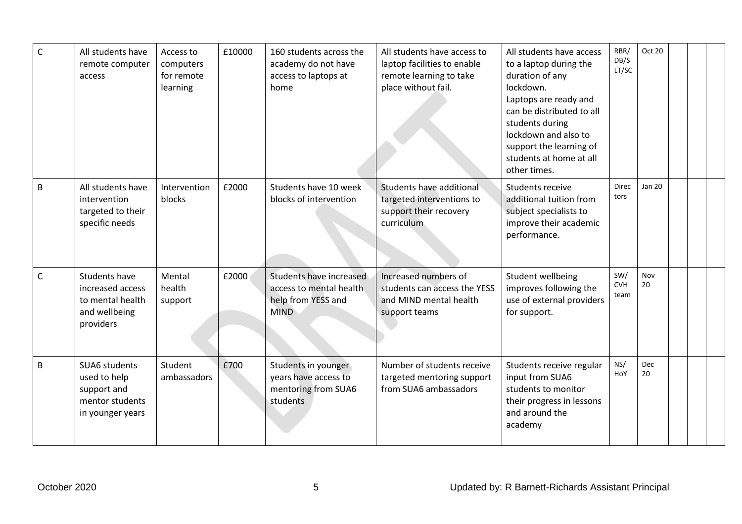| $\mathsf{C}$ | All students have<br>remote computer<br>access                                      | Access to<br>computers<br>for remote<br>learning | £10000 | 160 students across the<br>academy do not have<br>access to laptops at<br>home          | All students have access to<br>laptop facilities to enable<br>remote learning to take<br>place without fail. | All students have access<br>to a laptop during the<br>duration of any<br>lockdown.<br>Laptops are ready and<br>can be distributed to all<br>students during<br>lockdown and also to<br>support the learning of<br>students at home at all<br>other times. | RBR/<br>DB/S<br>LT/SC     | Oct 20           |  |  |
|--------------|-------------------------------------------------------------------------------------|--------------------------------------------------|--------|-----------------------------------------------------------------------------------------|--------------------------------------------------------------------------------------------------------------|-----------------------------------------------------------------------------------------------------------------------------------------------------------------------------------------------------------------------------------------------------------|---------------------------|------------------|--|--|
| B            | All students have<br>intervention<br>targeted to their<br>specific needs            | Intervention<br>blocks                           | £2000  | Students have 10 week<br>blocks of intervention                                         | Students have additional<br>targeted interventions to<br>support their recovery<br>curriculum                | Students receive<br>additional tuition from<br>subject specialists to<br>improve their academic<br>performance.                                                                                                                                           | Direc<br>tors             | <b>Jan 20</b>    |  |  |
| $\mathsf{C}$ | Students have<br>increased access<br>to mental health<br>and wellbeing<br>providers | Mental<br>health<br>support                      | £2000  | Students have increased<br>access to mental health<br>help from YESS and<br><b>MIND</b> | Increased numbers of<br>students can access the YESS<br>and MIND mental health<br>support teams              | Student wellbeing<br>improves following the<br>use of external providers<br>for support.                                                                                                                                                                  | SW/<br><b>CVH</b><br>team | Nov<br>20        |  |  |
| B            | SUA6 students<br>used to help<br>support and<br>mentor students<br>in younger years | Student<br>ambassadors                           | £700   | Students in younger<br>years have access to<br>mentoring from SUA6<br>students          | Number of students receive<br>targeted mentoring support<br>from SUA6 ambassadors                            | Students receive regular<br>input from SUA6<br>students to monitor<br>their progress in lessons<br>and around the<br>academy                                                                                                                              | NS/<br>HoY                | <b>Dec</b><br>20 |  |  |